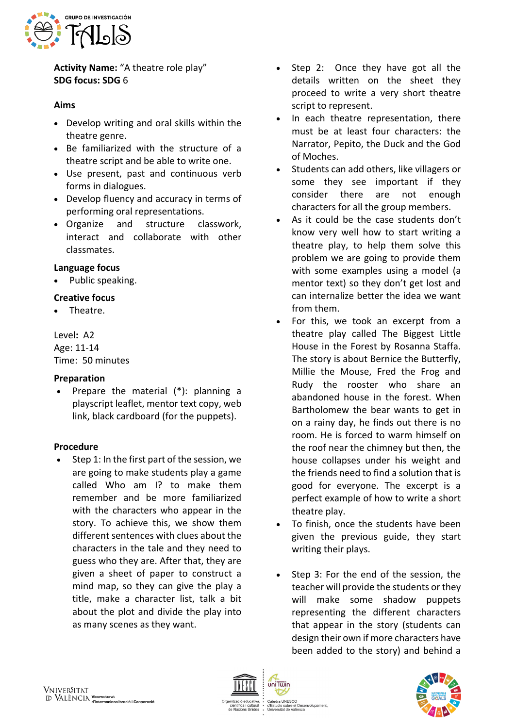

**Activity Name:** "A theatre role play" **SDG focus: SDG** 6

# **Aims**

- Develop writing and oral skills within the theatre genre.
- Be familiarized with the structure of a theatre script and be able to write one.
- Use present, past and continuous verb forms in dialogues.
- Develop fluency and accuracy in terms of performing oral representations.
- Organize and structure classwork, interact and collaborate with other classmates.

## **Language focus**

• Public speaking.

# **Creative focus**

• Theatre.

Level**:** A2 Age: 11-14 Time: 50 minutes

## **Preparation**

• Prepare the material (\*): planning a playscript leaflet, mentor text copy, web link, black cardboard (for the puppets).

## **Procedure**

• Step 1: In the first part of the session, we are going to make students play a game called Who am I? to make them remember and be more familiarized with the characters who appear in the story. To achieve this, we show them different sentences with clues about the characters in the tale and they need to guess who they are. After that, they are given a sheet of paper to construct a mind map, so they can give the play a title, make a character list, talk a bit about the plot and divide the play into as many scenes as they want.

- Step 2: Once they have got all the details written on the sheet they proceed to write a very short theatre script to represent.
- In each theatre representation, there must be at least four characters: the Narrator, Pepito, the Duck and the God of Moches.
- Students can add others, like villagers or some they see important if they consider there are not enough characters for all the group members.
- As it could be the case students don't know very well how to start writing a theatre play, to help them solve this problem we are going to provide them with some examples using a model (a mentor text) so they don't get lost and can internalize better the idea we want from them.
- For this, we took an excerpt from a theatre play called The Biggest Little House in the Forest by Rosanna Staffa. The story is about Bernice the Butterfly, Millie the Mouse, Fred the Frog and Rudy the rooster who share an abandoned house in the forest. When Bartholomew the bear wants to get in on a rainy day, he finds out there is no room. He is forced to warm himself on the roof near the chimney but then, the house collapses under his weight and the friends need to find a solution that is good for everyone. The excerpt is a perfect example of how to write a short theatre play.
- To finish, once the students have been given the previous guide, they start writing their plays.
- Step 3: For the end of the session, the teacher will provide the students or they will make some shadow puppets representing the different characters that appear in the story (students can design their own if more characters have been added to the story) and behind a



uniTwin

Càtedra UNESCO<br>d'Estudis sobre el Desenvolupament, uis sobre el Des<br>sitat de València